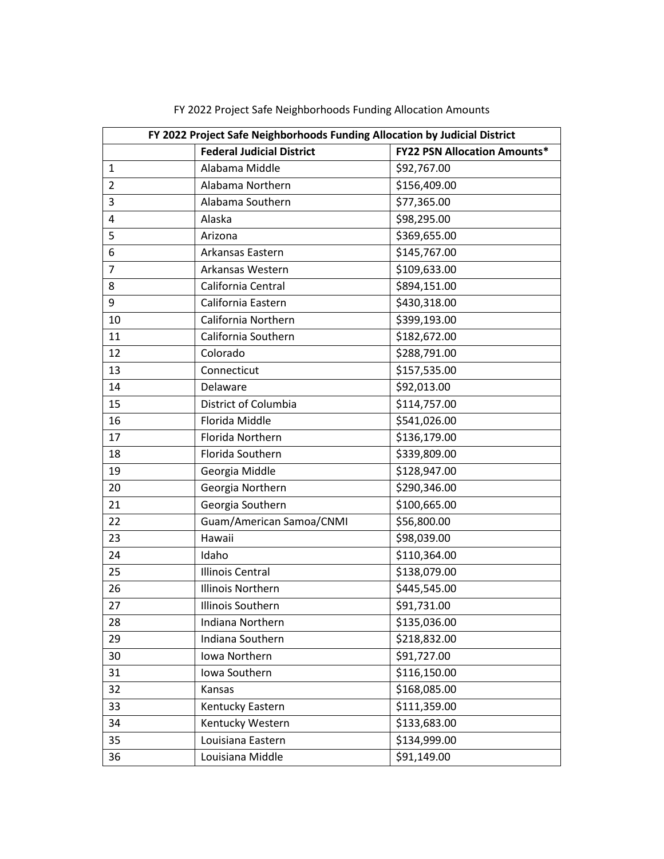| FY 2022 Project Safe Neighborhoods Funding Allocation by Judicial District |                                  |                                     |  |
|----------------------------------------------------------------------------|----------------------------------|-------------------------------------|--|
|                                                                            | <b>Federal Judicial District</b> | <b>FY22 PSN Allocation Amounts*</b> |  |
| $\mathbf{1}$                                                               | Alabama Middle                   | \$92,767.00                         |  |
| $\overline{2}$                                                             | Alabama Northern                 | \$156,409.00                        |  |
| 3                                                                          | Alabama Southern                 | \$77,365.00                         |  |
| 4                                                                          | Alaska                           | \$98,295.00                         |  |
| 5                                                                          | Arizona                          | \$369,655.00                        |  |
| 6                                                                          | Arkansas Eastern                 | \$145,767.00                        |  |
| $\overline{7}$                                                             | Arkansas Western                 | \$109,633.00                        |  |
| 8                                                                          | California Central               | \$894,151.00                        |  |
| 9                                                                          | California Eastern               | \$430,318.00                        |  |
| 10                                                                         | California Northern              | \$399,193.00                        |  |
| 11                                                                         | California Southern              | \$182,672.00                        |  |
| 12                                                                         | Colorado                         | \$288,791.00                        |  |
| 13                                                                         | Connecticut                      | \$157,535.00                        |  |
| 14                                                                         | Delaware                         | \$92,013.00                         |  |
| 15                                                                         | District of Columbia             | \$114,757.00                        |  |
| 16                                                                         | Florida Middle                   | \$541,026.00                        |  |
| 17                                                                         | Florida Northern                 | \$136,179.00                        |  |
| 18                                                                         | Florida Southern                 | \$339,809.00                        |  |
| 19                                                                         | Georgia Middle                   | \$128,947.00                        |  |
| 20                                                                         | Georgia Northern                 | \$290,346.00                        |  |
| 21                                                                         | Georgia Southern                 | \$100,665.00                        |  |
| 22                                                                         | Guam/American Samoa/CNMI         | \$56,800.00                         |  |
| 23                                                                         | Hawaii                           | \$98,039.00                         |  |
| 24                                                                         | Idaho                            | \$110,364.00                        |  |
| 25                                                                         | <b>Illinois Central</b>          | \$138,079.00                        |  |
| 26                                                                         | <b>Illinois Northern</b>         | \$445,545.00                        |  |
| 27                                                                         | Illinois Southern                | \$91,731.00                         |  |
| 28                                                                         | Indiana Northern                 | \$135,036.00                        |  |
| 29                                                                         | Indiana Southern                 | \$218,832.00                        |  |
| 30                                                                         | Iowa Northern                    | \$91,727.00                         |  |
| 31                                                                         | Iowa Southern                    | \$116,150.00                        |  |
| 32                                                                         | Kansas                           | \$168,085.00                        |  |
| 33                                                                         | Kentucky Eastern                 | \$111,359.00                        |  |
| 34                                                                         | Kentucky Western                 | \$133,683.00                        |  |
| 35                                                                         | Louisiana Eastern                | \$134,999.00                        |  |
| 36                                                                         | Louisiana Middle                 | \$91,149.00                         |  |

FY 2022 Project Safe Neighborhoods Funding Allocation Amounts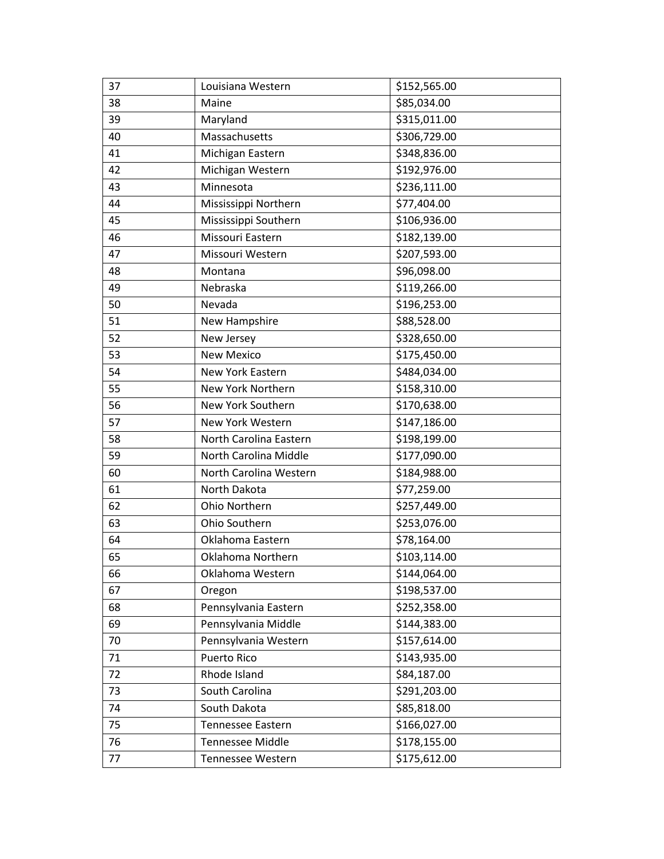| 37 | Louisiana Western       | \$152,565.00 |
|----|-------------------------|--------------|
| 38 | Maine                   | \$85,034.00  |
| 39 | Maryland                | \$315,011.00 |
| 40 | Massachusetts           | \$306,729.00 |
| 41 | Michigan Eastern        | \$348,836.00 |
| 42 | Michigan Western        | \$192,976.00 |
| 43 | Minnesota               | \$236,111.00 |
| 44 | Mississippi Northern    | \$77,404.00  |
| 45 | Mississippi Southern    | \$106,936.00 |
| 46 | Missouri Eastern        | \$182,139.00 |
| 47 | Missouri Western        | \$207,593.00 |
| 48 | Montana                 | \$96,098.00  |
| 49 | Nebraska                | \$119,266.00 |
| 50 | Nevada                  | \$196,253.00 |
| 51 | New Hampshire           | \$88,528.00  |
| 52 | New Jersey              | \$328,650.00 |
| 53 | <b>New Mexico</b>       | \$175,450.00 |
| 54 | New York Eastern        | \$484,034.00 |
| 55 | New York Northern       | \$158,310.00 |
| 56 | New York Southern       | \$170,638.00 |
| 57 | New York Western        | \$147,186.00 |
| 58 | North Carolina Eastern  | \$198,199.00 |
| 59 | North Carolina Middle   | \$177,090.00 |
| 60 | North Carolina Western  | \$184,988.00 |
| 61 | North Dakota            | \$77,259.00  |
| 62 | Ohio Northern           | \$257,449.00 |
| 63 | Ohio Southern           | \$253,076.00 |
| 64 | Oklahoma Eastern        | \$78,164.00  |
| 65 | Oklahoma Northern       | \$103,114.00 |
| 66 | Oklahoma Western        | \$144,064.00 |
| 67 | Oregon                  | \$198,537.00 |
| 68 | Pennsylvania Eastern    | \$252,358.00 |
| 69 | Pennsylvania Middle     | \$144,383.00 |
| 70 | Pennsylvania Western    | \$157,614.00 |
| 71 | Puerto Rico             | \$143,935.00 |
| 72 | Rhode Island            | \$84,187.00  |
| 73 | South Carolina          | \$291,203.00 |
| 74 | South Dakota            | \$85,818.00  |
| 75 | Tennessee Eastern       | \$166,027.00 |
| 76 | <b>Tennessee Middle</b> | \$178,155.00 |
| 77 | Tennessee Western       | \$175,612.00 |